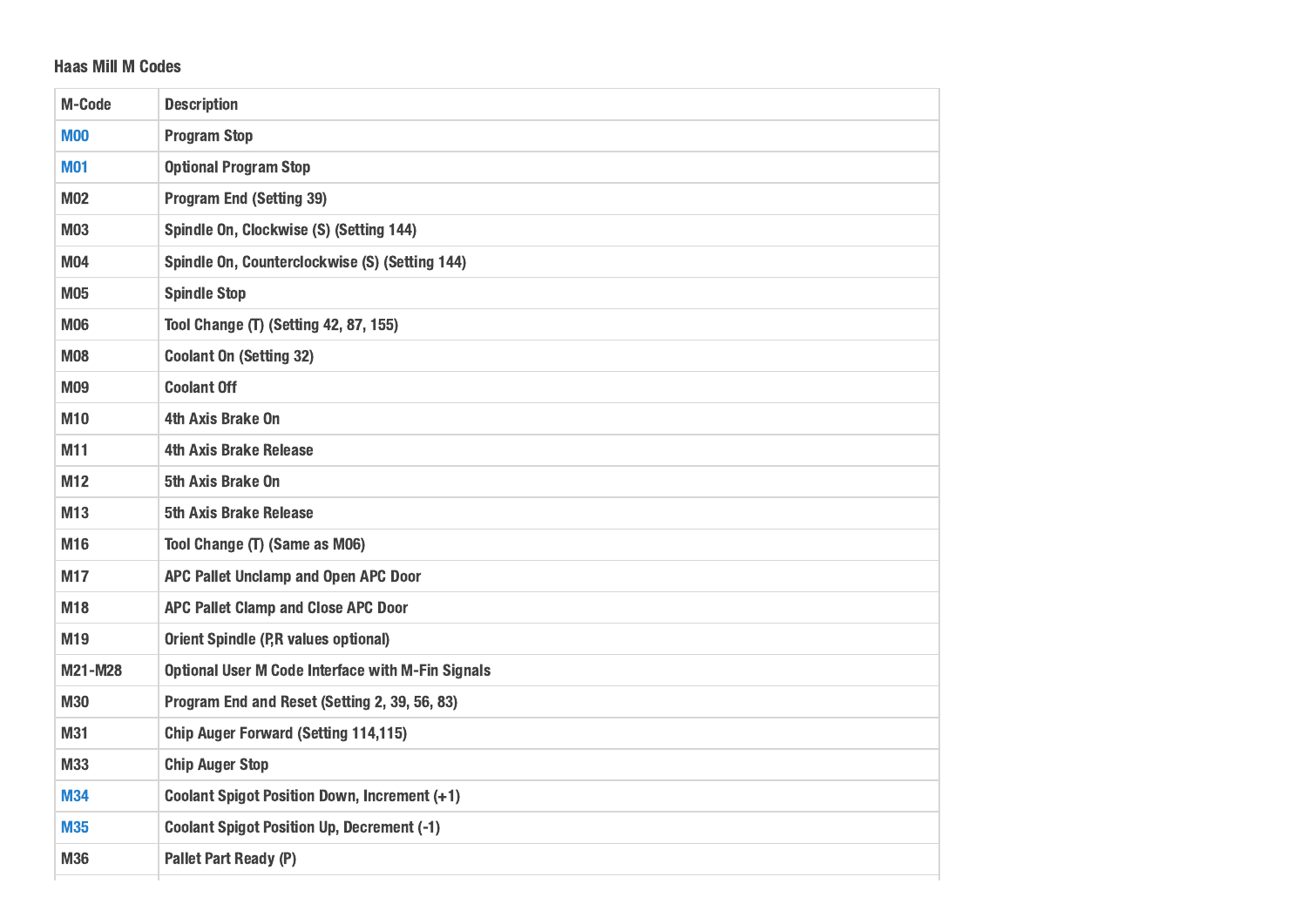## Haas Mill M Codes

| <b>M00</b><br><b>Program Stop</b><br><b>Optional Program Stop</b><br><b>M01</b><br><b>Program End (Setting 39)</b><br><b>M02</b><br>Spindle On, Clockwise (S) (Setting 144)<br><b>M03</b><br>Spindle On, Counterclockwise (S) (Setting 144)<br><b>M04</b><br><b>Spindle Stop</b><br>M05<br><b>Tool Change (T) (Setting 42, 87, 155)</b><br><b>M06</b><br><b>Coolant On (Setting 32)</b><br><b>M08</b><br><b>Coolant Off</b><br>M09<br>M10<br>4th Axis Brake On<br><b>4th Axis Brake Release</b><br>M11<br>5th Axis Brake On<br>M12<br>M <sub>13</sub><br><b>5th Axis Brake Release</b><br>Tool Change (T) (Same as M06)<br>M16<br>APC Pallet Unclamp and Open APC Door<br>M17<br>APC Pallet Clamp and Close APC Door<br>M18<br><b>Orient Spindle (P,R values optional)</b><br>M19<br>M21-M28<br><b>Optional User M Code Interface with M-Fin Signals</b><br>Program End and Reset (Setting 2, 39, 56, 83)<br><b>M30</b><br><b>Chip Auger Forward (Setting 114,115)</b><br>M31<br><b>Chip Auger Stop</b><br>M33<br><b>Coolant Spigot Position Down, Increment (+1)</b><br><b>M34</b><br><b>Coolant Spigot Position Up, Decrement (-1)</b><br><b>M35</b> | M-Code | <b>Description</b>           |
|--------------------------------------------------------------------------------------------------------------------------------------------------------------------------------------------------------------------------------------------------------------------------------------------------------------------------------------------------------------------------------------------------------------------------------------------------------------------------------------------------------------------------------------------------------------------------------------------------------------------------------------------------------------------------------------------------------------------------------------------------------------------------------------------------------------------------------------------------------------------------------------------------------------------------------------------------------------------------------------------------------------------------------------------------------------------------------------------------------------------------------------------------------|--------|------------------------------|
|                                                                                                                                                                                                                                                                                                                                                                                                                                                                                                                                                                                                                                                                                                                                                                                                                                                                                                                                                                                                                                                                                                                                                        |        |                              |
|                                                                                                                                                                                                                                                                                                                                                                                                                                                                                                                                                                                                                                                                                                                                                                                                                                                                                                                                                                                                                                                                                                                                                        |        |                              |
|                                                                                                                                                                                                                                                                                                                                                                                                                                                                                                                                                                                                                                                                                                                                                                                                                                                                                                                                                                                                                                                                                                                                                        |        |                              |
|                                                                                                                                                                                                                                                                                                                                                                                                                                                                                                                                                                                                                                                                                                                                                                                                                                                                                                                                                                                                                                                                                                                                                        |        |                              |
|                                                                                                                                                                                                                                                                                                                                                                                                                                                                                                                                                                                                                                                                                                                                                                                                                                                                                                                                                                                                                                                                                                                                                        |        |                              |
|                                                                                                                                                                                                                                                                                                                                                                                                                                                                                                                                                                                                                                                                                                                                                                                                                                                                                                                                                                                                                                                                                                                                                        |        |                              |
|                                                                                                                                                                                                                                                                                                                                                                                                                                                                                                                                                                                                                                                                                                                                                                                                                                                                                                                                                                                                                                                                                                                                                        |        |                              |
|                                                                                                                                                                                                                                                                                                                                                                                                                                                                                                                                                                                                                                                                                                                                                                                                                                                                                                                                                                                                                                                                                                                                                        |        |                              |
|                                                                                                                                                                                                                                                                                                                                                                                                                                                                                                                                                                                                                                                                                                                                                                                                                                                                                                                                                                                                                                                                                                                                                        |        |                              |
|                                                                                                                                                                                                                                                                                                                                                                                                                                                                                                                                                                                                                                                                                                                                                                                                                                                                                                                                                                                                                                                                                                                                                        |        |                              |
|                                                                                                                                                                                                                                                                                                                                                                                                                                                                                                                                                                                                                                                                                                                                                                                                                                                                                                                                                                                                                                                                                                                                                        |        |                              |
|                                                                                                                                                                                                                                                                                                                                                                                                                                                                                                                                                                                                                                                                                                                                                                                                                                                                                                                                                                                                                                                                                                                                                        |        |                              |
|                                                                                                                                                                                                                                                                                                                                                                                                                                                                                                                                                                                                                                                                                                                                                                                                                                                                                                                                                                                                                                                                                                                                                        |        |                              |
|                                                                                                                                                                                                                                                                                                                                                                                                                                                                                                                                                                                                                                                                                                                                                                                                                                                                                                                                                                                                                                                                                                                                                        |        |                              |
|                                                                                                                                                                                                                                                                                                                                                                                                                                                                                                                                                                                                                                                                                                                                                                                                                                                                                                                                                                                                                                                                                                                                                        |        |                              |
|                                                                                                                                                                                                                                                                                                                                                                                                                                                                                                                                                                                                                                                                                                                                                                                                                                                                                                                                                                                                                                                                                                                                                        |        |                              |
|                                                                                                                                                                                                                                                                                                                                                                                                                                                                                                                                                                                                                                                                                                                                                                                                                                                                                                                                                                                                                                                                                                                                                        |        |                              |
|                                                                                                                                                                                                                                                                                                                                                                                                                                                                                                                                                                                                                                                                                                                                                                                                                                                                                                                                                                                                                                                                                                                                                        |        |                              |
|                                                                                                                                                                                                                                                                                                                                                                                                                                                                                                                                                                                                                                                                                                                                                                                                                                                                                                                                                                                                                                                                                                                                                        |        |                              |
|                                                                                                                                                                                                                                                                                                                                                                                                                                                                                                                                                                                                                                                                                                                                                                                                                                                                                                                                                                                                                                                                                                                                                        |        |                              |
|                                                                                                                                                                                                                                                                                                                                                                                                                                                                                                                                                                                                                                                                                                                                                                                                                                                                                                                                                                                                                                                                                                                                                        |        |                              |
|                                                                                                                                                                                                                                                                                                                                                                                                                                                                                                                                                                                                                                                                                                                                                                                                                                                                                                                                                                                                                                                                                                                                                        |        |                              |
|                                                                                                                                                                                                                                                                                                                                                                                                                                                                                                                                                                                                                                                                                                                                                                                                                                                                                                                                                                                                                                                                                                                                                        |        |                              |
|                                                                                                                                                                                                                                                                                                                                                                                                                                                                                                                                                                                                                                                                                                                                                                                                                                                                                                                                                                                                                                                                                                                                                        | M36    | <b>Pallet Part Ready (P)</b> |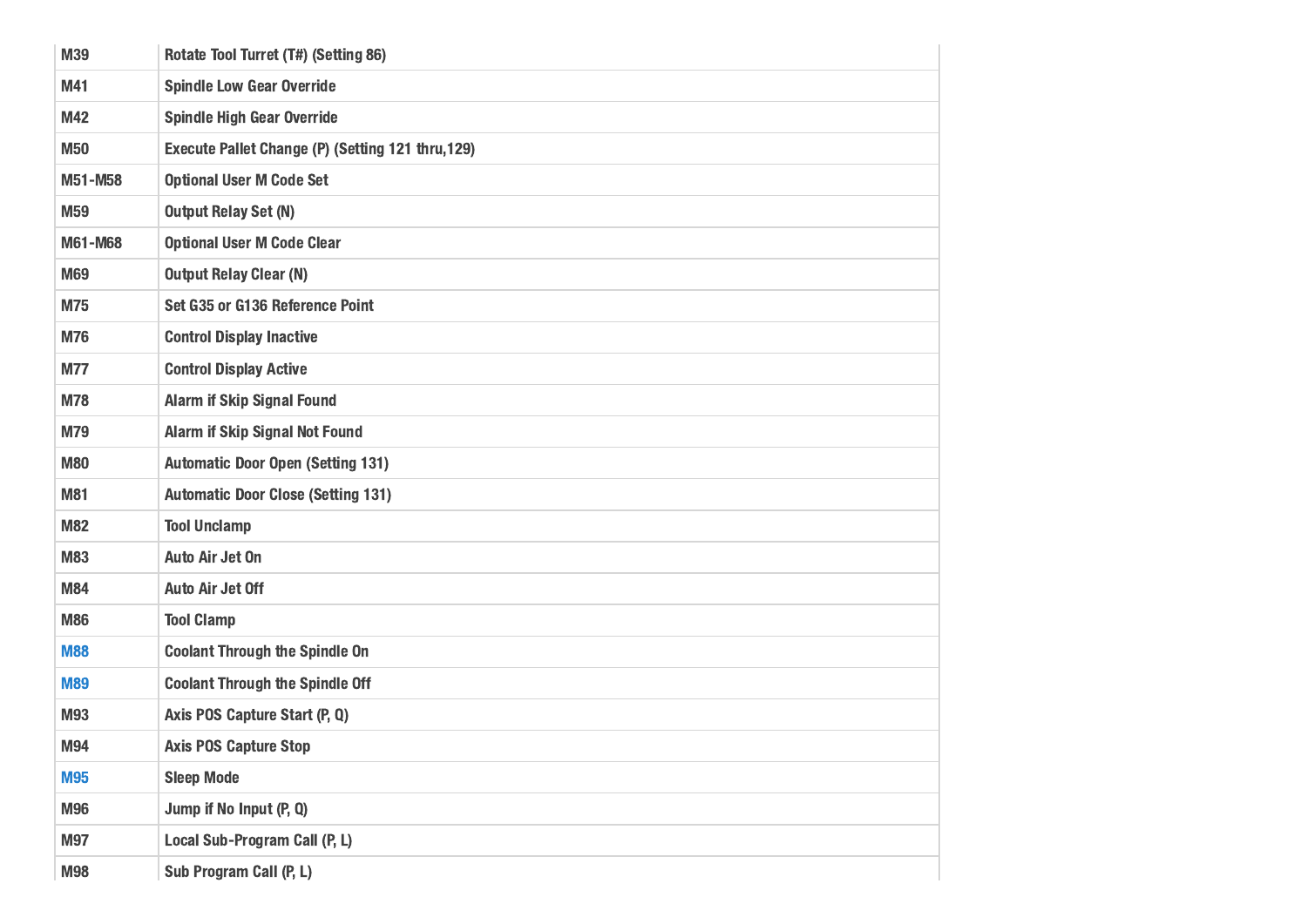| M39        | Rotate Tool Turret (T#) (Setting 86)              |
|------------|---------------------------------------------------|
| M41        | <b>Spindle Low Gear Override</b>                  |
| M42        | <b>Spindle High Gear Override</b>                 |
| <b>M50</b> | Execute Pallet Change (P) (Setting 121 thru, 129) |
| M51-M58    | <b>Optional User M Code Set</b>                   |
| M59        | <b>Output Relay Set (N)</b>                       |
| M61-M68    | <b>Optional User M Code Clear</b>                 |
| M69        | <b>Output Relay Clear (N)</b>                     |
| M75        | Set G35 or G136 Reference Point                   |
| <b>M76</b> | <b>Control Display Inactive</b>                   |
| <b>M77</b> | <b>Control Display Active</b>                     |
| <b>M78</b> | <b>Alarm if Skip Signal Found</b>                 |
| M79        | <b>Alarm if Skip Signal Not Found</b>             |
| <b>M80</b> | <b>Automatic Door Open (Setting 131)</b>          |
| <b>M81</b> | <b>Automatic Door Close (Setting 131)</b>         |
| <b>M82</b> | <b>Tool Unclamp</b>                               |
| <b>M83</b> | <b>Auto Air Jet On</b>                            |
| <b>M84</b> | <b>Auto Air Jet Off</b>                           |
| <b>M86</b> | <b>Tool Clamp</b>                                 |
| <b>M88</b> | <b>Coolant Through the Spindle On</b>             |
| <b>M89</b> | <b>Coolant Through the Spindle Off</b>            |
| <b>M93</b> | Axis POS Capture Start (P, Q)                     |
| M94        | <b>Axis POS Capture Stop</b>                      |
| <b>M95</b> | <b>Sleep Mode</b>                                 |
| M96        | Jump if No Input (P, Q)                           |
| M97        | Local Sub-Program Call (P, L)                     |
| <b>M98</b> | Sub Program Call (P, L)                           |